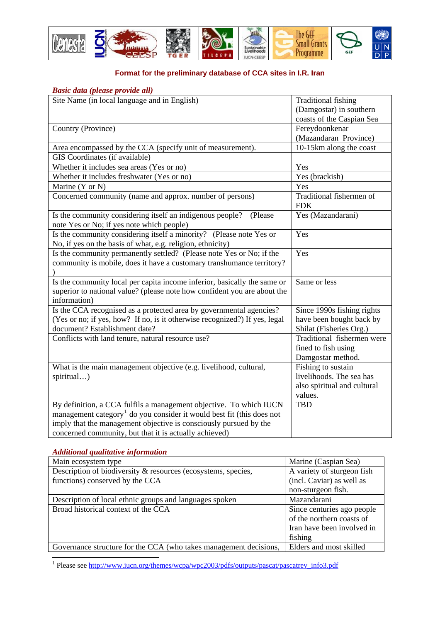

## **Format for the preliminary database of CCA sites in I.R. Iran**

| Basic data (please provide all)                                                   |                             |
|-----------------------------------------------------------------------------------|-----------------------------|
| Site Name (in local language and in English)                                      | <b>Traditional fishing</b>  |
|                                                                                   | (Damgostar) in southern     |
|                                                                                   | coasts of the Caspian Sea   |
| Country (Province)                                                                | Fereydoonkenar              |
|                                                                                   | (Mazandaran Province)       |
| Area encompassed by the CCA (specify unit of measurement).                        | 10-15km along the coast     |
| GIS Coordinates (if available)                                                    |                             |
| Whether it includes sea areas (Yes or no)                                         | Yes                         |
| Whether it includes freshwater (Yes or no)                                        | Yes (brackish)              |
| Marine (Y or N)                                                                   | Yes                         |
| Concerned community (name and approx. number of persons)                          | Traditional fishermen of    |
|                                                                                   | <b>FDK</b>                  |
| Is the community considering itself an indigenous people?<br>(Please              | Yes (Mazandarani)           |
| note Yes or No; if yes note which people)                                         |                             |
| Is the community considering itself a minority? (Please note Yes or               | Yes                         |
| No, if yes on the basis of what, e.g. religion, ethnicity)                        |                             |
| Is the community permanently settled? (Please note Yes or No; if the              | Yes                         |
| community is mobile, does it have a customary transhumance territory?             |                             |
|                                                                                   |                             |
| Is the community local per capita income inferior, basically the same or          | Same or less                |
| superior to national value? (please note how confident you are about the          |                             |
| information)                                                                      |                             |
| Is the CCA recognised as a protected area by governmental agencies?               | Since 1990s fishing rights  |
| (Yes or no; if yes, how? If no, is it otherwise recognized?) If yes, legal        | have been bought back by    |
| document? Establishment date?                                                     | Shilat (Fisheries Org.)     |
| Conflicts with land tenure, natural resource use?                                 | Traditional fishermen were  |
|                                                                                   | fined to fish using         |
|                                                                                   | Damgostar method.           |
| What is the main management objective (e.g. livelihood, cultural,                 | Fishing to sustain          |
| spiritual)                                                                        | livelihoods. The sea has    |
|                                                                                   | also spiritual and cultural |
|                                                                                   | values.                     |
| By definition, a CCA fulfils a management objective. To which IUCN                | <b>TBD</b>                  |
| management category <sup>1</sup> do you consider it would best fit (this does not |                             |
| imply that the management objective is consciously pursued by the                 |                             |
| concerned community, but that it is actually achieved)                            |                             |

## *Additional qualitative information*

| Main ecosystem type                                               | Marine (Caspian Sea)       |
|-------------------------------------------------------------------|----------------------------|
| Description of biodiversity & resources (ecosystems, species,     | A variety of sturgeon fish |
| functions) conserved by the CCA                                   | (incl. Caviar) as well as  |
|                                                                   | non-sturgeon fish.         |
| Description of local ethnic groups and languages spoken           | Mazandarani                |
| Broad historical context of the CCA                               | Since centuries ago people |
|                                                                   | of the northern coasts of  |
|                                                                   | Iran have been involved in |
|                                                                   | fishing                    |
| Governance structure for the CCA (who takes management decisions, | Elders and most skilled    |

<span id="page-0-0"></span>1<br><sup>1</sup> Please see http://www.iucn.org/themes/wcpa/wpc2003/pdfs/outputs/pascat/pascatrev\_info3.pdf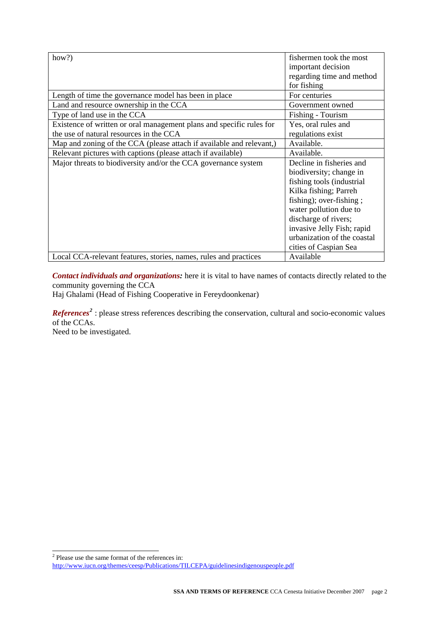| how?)                                                                                                           | fishermen took the most<br>important decision<br>regarding time and method<br>for fishing                                                                                                                                                                                    |
|-----------------------------------------------------------------------------------------------------------------|------------------------------------------------------------------------------------------------------------------------------------------------------------------------------------------------------------------------------------------------------------------------------|
| Length of time the governance model has been in place                                                           | For centuries                                                                                                                                                                                                                                                                |
| Land and resource ownership in the CCA                                                                          | Government owned                                                                                                                                                                                                                                                             |
| Type of land use in the CCA                                                                                     | Fishing - Tourism                                                                                                                                                                                                                                                            |
| Existence of written or oral management plans and specific rules for<br>the use of natural resources in the CCA | Yes, oral rules and<br>regulations exist                                                                                                                                                                                                                                     |
| Map and zoning of the CCA (please attach if available and relevant,)                                            | Available.                                                                                                                                                                                                                                                                   |
| Relevant pictures with captions (please attach if available)                                                    | Available.                                                                                                                                                                                                                                                                   |
| Major threats to biodiversity and/or the CCA governance system                                                  | Decline in fisheries and<br>biodiversity; change in<br>fishing tools (industrial<br>Kilka fishing; Parreh<br>fishing); over-fishing;<br>water pollution due to<br>discharge of rivers;<br>invasive Jelly Fish; rapid<br>urbanization of the coastal<br>cities of Caspian Sea |
| Local CCA-relevant features, stories, names, rules and practices                                                | Available                                                                                                                                                                                                                                                                    |

*Contact individuals and organizations:* here it is vital to have names of contacts directly related to the community governing the CCA

Haj Ghalami (Head of Fishing Cooperative in Fereydoonkenar)

*References*<sup>[2](#page-1-0)</sup>: please stress references describing the conservation, cultural and socio-economic values of the CCAs.

Need to be investigated.

Please use the same format of the references in:

<span id="page-1-0"></span><http://www.iucn.org/themes/ceesp/Publications/TILCEPA/guidelinesindigenouspeople.pdf>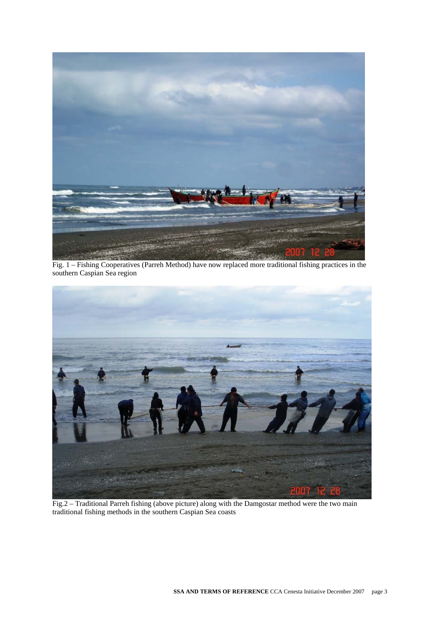

Fig. 1 – Fishing Cooperatives (Parreh Method) have now replaced more traditional fishing practices in the southern Caspian Sea region



Fig.2 – Traditional Parreh fishing (above picture) along with the Damgostar method were the two main traditional fishing methods in the southern Caspian Sea coasts